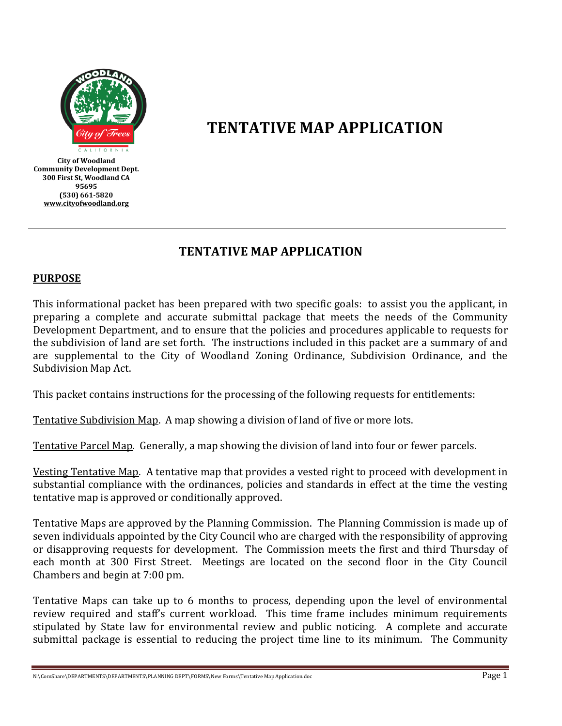

**City of Woodland Community Development Dept. 300 First St, Woodland CA 95695 (530) 661-5820 [www.cityofwoodland.org](http://www.cityofwoodland.org/)**

# **TENTATIVE MAP APPLICATION**

# **TENTATIVE MAP APPLICATION**

## **PURPOSE**

This informational packet has been prepared with two specific goals: to assist you the applicant, in preparing a complete and accurate submittal package that meets the needs of the Community Development Department, and to ensure that the policies and procedures applicable to requests for the subdivision of land are set forth. The instructions included in this packet are a summary of and are supplemental to the City of Woodland Zoning Ordinance, Subdivision Ordinance, and the Subdivision Map Act.

This packet contains instructions for the processing of the following requests for entitlements:

Tentative Subdivision Map. A map showing a division of land of five or more lots.

Tentative Parcel Map. Generally, a map showing the division of land into four or fewer parcels.

Vesting Tentative Map. A tentative map that provides a vested right to proceed with development in substantial compliance with the ordinances, policies and standards in effect at the time the vesting tentative map is approved or conditionally approved.

Tentative Maps are approved by the Planning Commission. The Planning Commission is made up of seven individuals appointed by the City Council who are charged with the responsibility of approving or disapproving requests for development. The Commission meets the first and third Thursday of each month at 300 First Street. Meetings are located on the second floor in the City Council Chambers and begin at 7:00 pm.

Tentative Maps can take up to 6 months to process, depending upon the level of environmental review required and staff's current workload. This time frame includes minimum requirements stipulated by State law for environmental review and public noticing. A complete and accurate submittal package is essential to reducing the project time line to its minimum. The Community

N:\ComShare\DEPARTMENTS\DEPARTMENTS\PLANNING DEPT\FORMS\New Forms\Tentative Map Application.doc  $P$ age 1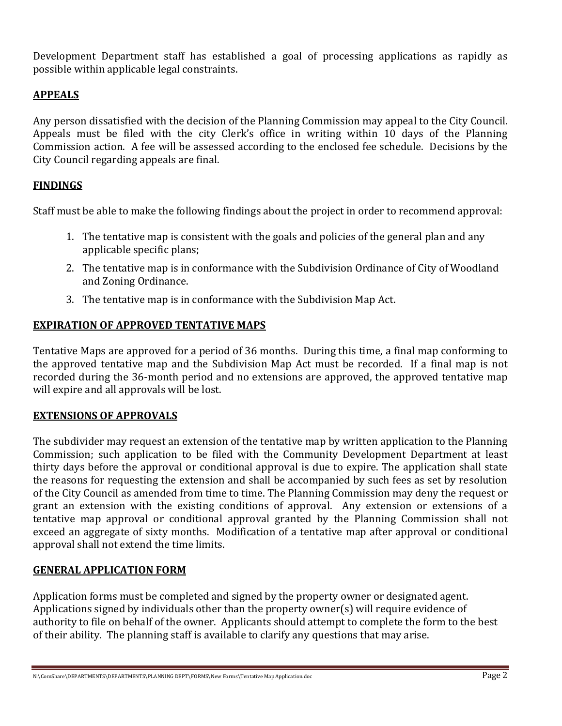Development Department staff has established a goal of processing applications as rapidly as possible within applicable legal constraints.

## **APPEALS**

Any person dissatisfied with the decision of the Planning Commission may appeal to the City Council. Appeals must be filed with the city Clerk's office in writing within 10 days of the Planning Commission action. A fee will be assessed according to the enclosed fee schedule. Decisions by the City Council regarding appeals are final.

## **FINDINGS**

Staff must be able to make the following findings about the project in order to recommend approval:

- 1. The tentative map is consistent with the goals and policies of the general plan and any applicable specific plans;
- 2. The tentative map is in conformance with the Subdivision Ordinance of City of Woodland and Zoning Ordinance.
- 3. The tentative map is in conformance with the Subdivision Map Act.

#### **EXPIRATION OF APPROVED TENTATIVE MAPS**

Tentative Maps are approved for a period of 36 months. During this time, a final map conforming to the approved tentative map and the Subdivision Map Act must be recorded. If a final map is not recorded during the 36-month period and no extensions are approved, the approved tentative map will expire and all approvals will be lost.

#### **EXTENSIONS OF APPROVALS**

The subdivider may request an extension of the tentative map by written application to the Planning Commission; such application to be filed with the Community Development Department at least thirty days before the approval or conditional approval is due to expire. The application shall state the reasons for requesting the extension and shall be accompanied by such fees as set by resolution of the City Council as amended from time to time. The Planning Commission may deny the request or grant an extension with the existing conditions of approval. Any extension or extensions of a tentative map approval or conditional approval granted by the Planning Commission shall not exceed an aggregate of sixty months. Modification of a tentative map after approval or conditional approval shall not extend the time limits.

#### **GENERAL APPLICATION FORM**

Application forms must be completed and signed by the property owner or designated agent. Applications signed by individuals other than the property owner(s) will require evidence of authority to file on behalf of the owner. Applicants should attempt to complete the form to the best of their ability. The planning staff is available to clarify any questions that may arise.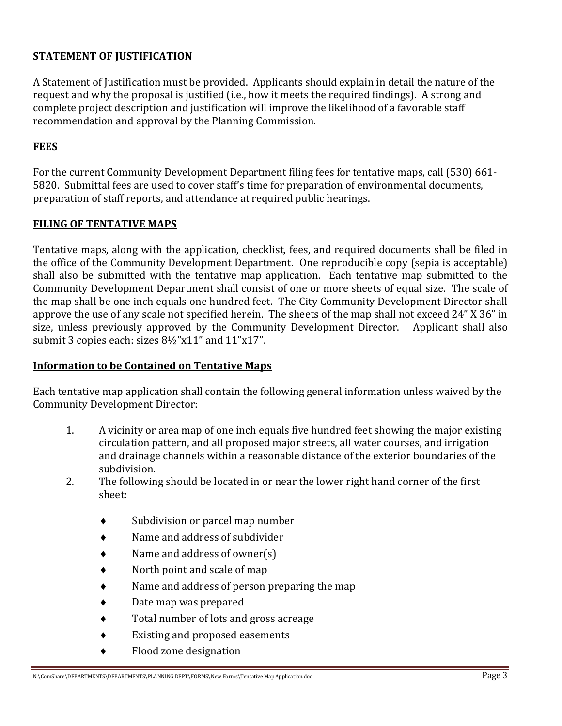## **STATEMENT OF JUSTIFICATION**

A Statement of Justification must be provided. Applicants should explain in detail the nature of the request and why the proposal is justified (i.e., how it meets the required findings). A strong and complete project description and justification will improve the likelihood of a favorable staff recommendation and approval by the Planning Commission.

## **FEES**

For the current Community Development Department filing fees for tentative maps, call (530) 661- 5820. Submittal fees are used to cover staff's time for preparation of environmental documents, preparation of staff reports, and attendance at required public hearings.

## **FILING OF TENTATIVE MAPS**

Tentative maps, along with the application, checklist, fees, and required documents shall be filed in the office of the Community Development Department. One reproducible copy (sepia is acceptable) shall also be submitted with the tentative map application. Each tentative map submitted to the Community Development Department shall consist of one or more sheets of equal size. The scale of the map shall be one inch equals one hundred feet. The City Community Development Director shall approve the use of any scale not specified herein. The sheets of the map shall not exceed 24" X 36" in size, unless previously approved by the Community Development Director. Applicant shall also submit 3 copies each: sizes 8½"x11" and 11"x17".

#### **Information to be Contained on Tentative Maps**

Each tentative map application shall contain the following general information unless waived by the Community Development Director:

- 1. A vicinity or area map of one inch equals five hundred feet showing the major existing circulation pattern, and all proposed major streets, all water courses, and irrigation and drainage channels within a reasonable distance of the exterior boundaries of the subdivision.
- 2. The following should be located in or near the lower right hand corner of the first sheet:
	- $\bullet$  Subdivision or parcel map number
	- Name and address of subdivider
	- Name and address of owner(s)
	- North point and scale of map
	- Name and address of person preparing the map
	- Date map was prepared
	- $\bullet$  Total number of lots and gross acreage
	- Existing and proposed easements
	- Flood zone designation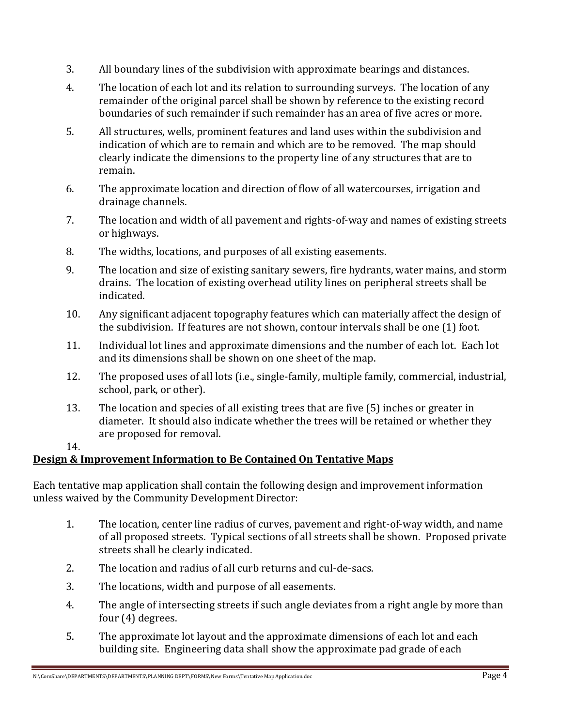- 3. All boundary lines of the subdivision with approximate bearings and distances.
- 4. The location of each lot and its relation to surrounding surveys. The location of any remainder of the original parcel shall be shown by reference to the existing record boundaries of such remainder if such remainder has an area of five acres or more.
- 5. All structures, wells, prominent features and land uses within the subdivision and indication of which are to remain and which are to be removed. The map should clearly indicate the dimensions to the property line of any structures that are to remain.
- 6. The approximate location and direction of flow of all watercourses, irrigation and drainage channels.
- 7. The location and width of all pavement and rights-of-way and names of existing streets or highways.
- 8. The widths, locations, and purposes of all existing easements.
- 9. The location and size of existing sanitary sewers, fire hydrants, water mains, and storm drains. The location of existing overhead utility lines on peripheral streets shall be indicated.
- 10. Any significant adjacent topography features which can materially affect the design of the subdivision. If features are not shown, contour intervals shall be one (1) foot.
- 11. Individual lot lines and approximate dimensions and the number of each lot. Each lot and its dimensions shall be shown on one sheet of the map.
- 12. The proposed uses of all lots (i.e., single-family, multiple family, commercial, industrial, school, park, or other).
- 13. The location and species of all existing trees that are five (5) inches or greater in diameter. It should also indicate whether the trees will be retained or whether they are proposed for removal.

## 14.

# **Design & Improvement Information to Be Contained On Tentative Maps**

Each tentative map application shall contain the following design and improvement information unless waived by the Community Development Director:

- 1. The location, center line radius of curves, pavement and right-of-way width, and name of all proposed streets. Typical sections of all streets shall be shown. Proposed private streets shall be clearly indicated.
- 2. The location and radius of all curb returns and cul-de-sacs.
- 3. The locations, width and purpose of all easements.
- 4. The angle of intersecting streets if such angle deviates from a right angle by more than four (4) degrees.
- 5. The approximate lot layout and the approximate dimensions of each lot and each building site. Engineering data shall show the approximate pad grade of each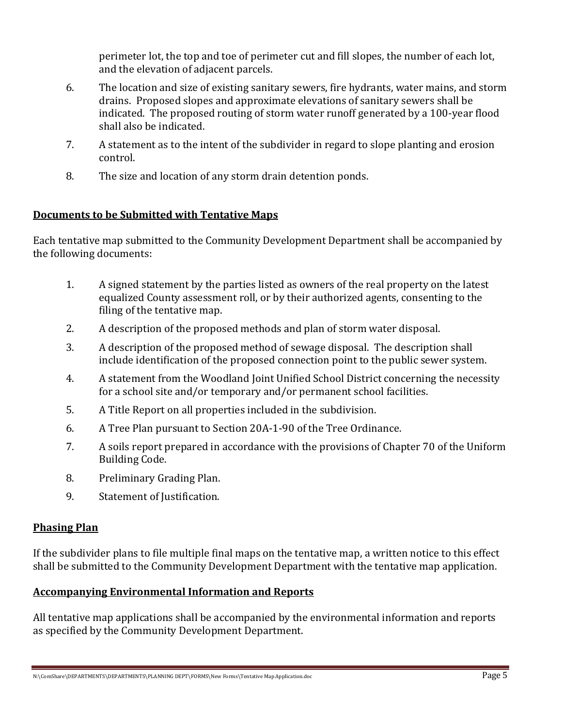perimeter lot, the top and toe of perimeter cut and fill slopes, the number of each lot, and the elevation of adjacent parcels.

- 6. The location and size of existing sanitary sewers, fire hydrants, water mains, and storm drains. Proposed slopes and approximate elevations of sanitary sewers shall be indicated. The proposed routing of storm water runoff generated by a 100-year flood shall also be indicated.
- 7. A statement as to the intent of the subdivider in regard to slope planting and erosion control.
- 8. The size and location of any storm drain detention ponds.

## **Documents to be Submitted with Tentative Maps**

Each tentative map submitted to the Community Development Department shall be accompanied by the following documents:

- 1. A signed statement by the parties listed as owners of the real property on the latest equalized County assessment roll, or by their authorized agents, consenting to the filing of the tentative map.
- 2. A description of the proposed methods and plan of storm water disposal.
- 3. A description of the proposed method of sewage disposal. The description shall include identification of the proposed connection point to the public sewer system.
- 4. A statement from the Woodland Joint Unified School District concerning the necessity for a school site and/or temporary and/or permanent school facilities.
- 5. A Title Report on all properties included in the subdivision.
- 6. A Tree Plan pursuant to Section 20A-1-90 of the Tree Ordinance.
- 7. A soils report prepared in accordance with the provisions of Chapter 70 of the Uniform Building Code.
- 8. Preliminary Grading Plan.
- 9. Statement of Justification.

## **Phasing Plan**

If the subdivider plans to file multiple final maps on the tentative map, a written notice to this effect shall be submitted to the Community Development Department with the tentative map application.

## **Accompanying Environmental Information and Reports**

All tentative map applications shall be accompanied by the environmental information and reports as specified by the Community Development Department.

N:\ComShare\DEPARTMENTS\DEPARTMENTS\PLANNING DEPT\FORMS\New Forms\Tentative Map Application.doc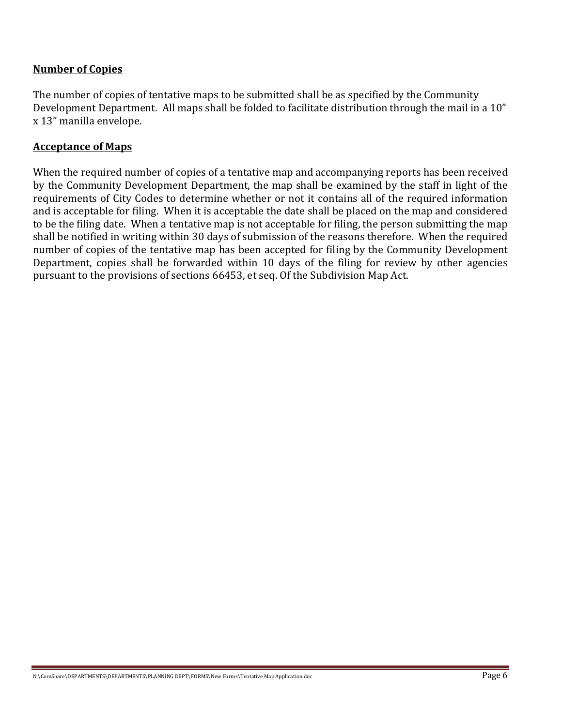## **Number of Copies**

The number of copies of tentative maps to be submitted shall be as specified by the Community Development Department. All maps shall be folded to facilitate distribution through the mail in a 10" x 13" manilla envelope.

#### **Acceptance of Maps**

When the required number of copies of a tentative map and accompanying reports has been received by the Community Development Department, the map shall be examined by the staff in light of the requirements of City Codes to determine whether or not it contains all of the required information and is acceptable for filing. When it is acceptable the date shall be placed on the map and considered to be the filing date. When a tentative map is not acceptable for filing, the person submitting the map shall be notified in writing within 30 days of submission of the reasons therefore. When the required number of copies of the tentative map has been accepted for filing by the Community Development Department, copies shall be forwarded within 10 days of the filing for review by other agencies pursuant to the provisions of sections 66453, et seq. Of the Subdivision Map Act.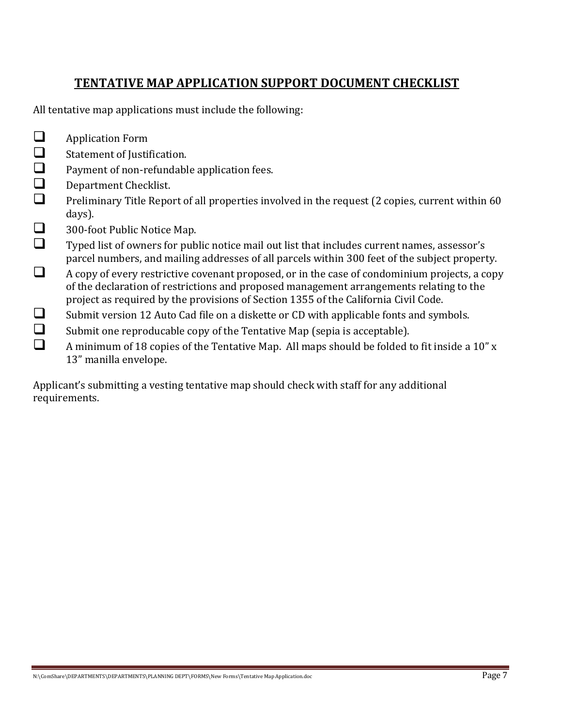# **TENTATIVE MAP APPLICATION SUPPORT DOCUMENT CHECKLIST**

All tentative map applications must include the following:

- **Application Form**
- $\Box$  Statement of Justification.<br> $\Box$  Payment of non-refundable
- $\Box$  Payment of non-refundable application fees.<br> $\Box$  Department Checklist.
- Department Checklist.
- **Preliminary Title Report of all properties involved in the request (2 copies, current within 60** days).
- 300-foot Public Notice Map.
- $\Box$  Typed list of owners for public notice mail out list that includes current names, assessor's parcel numbers, and mailing addresses of all parcels within 300 feet of the subject property.
- $\Box$  A copy of every restrictive covenant proposed, or in the case of condominium projects, a copy of the declaration of restrictions and proposed management arrangements relating to the project as required by the provisions of Section 1355 of the California Civil Code.
- $\Box$  Submit version 12 Auto Cad file on a diskette or CD with applicable fonts and symbols.
- $\Box$  Submit one reproducable copy of the Tentative Map (sepia is acceptable).
- $\Box$  A minimum of 18 copies of the Tentative Map. All maps should be folded to fit inside a 10" x 13" manilla envelope.

Applicant's submitting a vesting tentative map should check with staff for any additional requirements.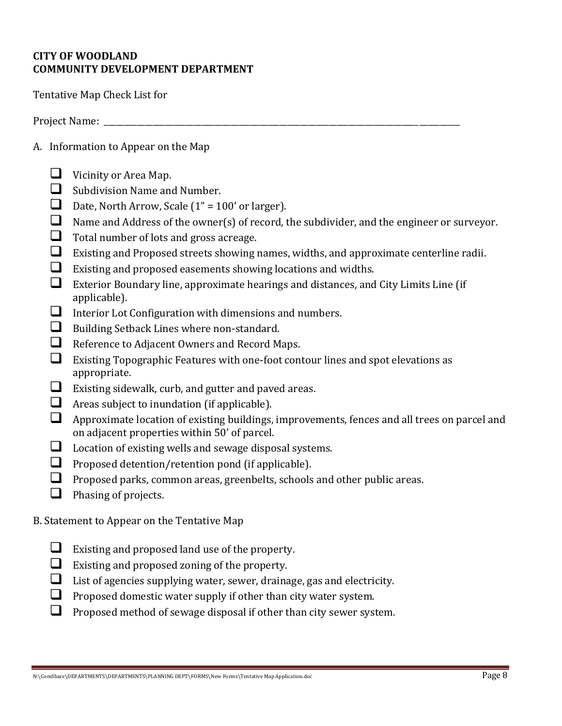## **CITY OF WOODLAND COMMUNITY DEVELOPMENT DEPARTMENT**

Tentative Map Check List for

Project Name:

- A. Information to Appear on the Map
	- $\Box$  Vicinity or Area Map.
	- $\Box$  Subdivision Name and Number.
	- Date, North Arrow, Scale  $(1" = 100'$  or larger).
	- $\Box$  Name and Address of the owner(s) of record, the subdivider, and the engineer or surveyor.
	- Total number of lots and gross acreage.
	- Existing and Proposed streets showing names, widths, and approximate centerline radii.
	- $\Box$  Existing and proposed easements showing locations and widths.
	- Exterior Boundary line, approximate hearings and distances, and City Limits Line (if applicable).
	- $\Box$  Interior Lot Configuration with dimensions and numbers.
	- **Building Setback Lines where non-standard.**
	- Reference to Adjacent Owners and Record Maps.
	- Existing Topographic Features with one-foot contour lines and spot elevations as appropriate.
	- Existing sidewalk, curb, and gutter and paved areas.
	- **A** Areas subject to inundation (if applicable).
	- Approximate location of existing buildings, improvements, fences and all trees on parcel and on adjacent properties within 50' of parcel.
	- $\Box$  Location of existing wells and sewage disposal systems.
	- $\Box$  Proposed detention/retention pond (if applicable).
	- $\Box$  Proposed parks, common areas, greenbelts, schools and other public areas.
	- $\Box$  Phasing of projects.

## B. Statement to Appear on the Tentative Map

- Existing and proposed land use of the property.
- $\Box$  Existing and proposed zoning of the property.
- $\Box$  List of agencies supplying water, sewer, drainage, gas and electricity.
- $\Box$  Proposed domestic water supply if other than city water system.
- $\Box$  Proposed method of sewage disposal if other than city sewer system.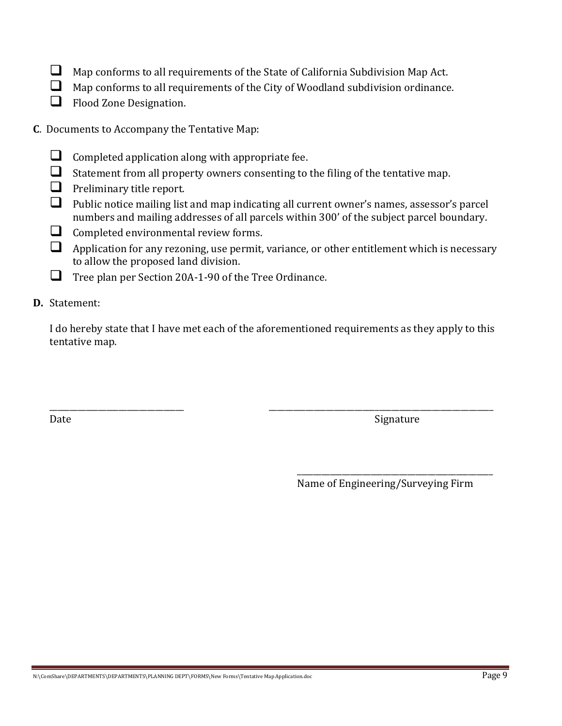- $\Box$  Map conforms to all requirements of the State of California Subdivision Map Act.
- Map conforms to all requirements of the City of Woodland subdivision ordinance.
- **O** Flood Zone Designation.
- **C**. Documents to Accompany the Tentative Map:
	- $\Box$  Completed application along with appropriate fee.
	- $\Box$  Statement from all property owners consenting to the filing of the tentative map.
	- $\Box$  Preliminary title report.
	- Public notice mailing list and map indicating all current owner's names, assessor's parcel numbers and mailing addresses of all parcels within 300' of the subject parcel boundary.
	- **Q** Completed environmental review forms.
	- Application for any rezoning, use permit, variance, or other entitlement which is necessary to allow the proposed land division.
	- Tree plan per Section 20A-1-90 of the Tree Ordinance.
- **D.** Statement:

I do hereby state that I have met each of the aforementioned requirements as they apply to this tentative map.

\_\_\_\_\_\_\_\_\_\_\_\_\_\_\_\_\_\_\_\_\_\_\_\_\_\_\_\_\_\_\_\_\_ \_\_\_\_\_\_\_\_\_\_\_\_\_\_\_\_\_\_\_\_\_\_\_\_\_\_\_\_\_\_\_\_\_\_\_\_\_\_\_\_\_\_\_\_\_\_\_\_\_\_\_\_\_\_\_

Date Signature

Name of Engineering/Surveying Firm

\_\_\_\_\_\_\_\_\_\_\_\_\_\_\_\_\_\_\_\_\_\_\_\_\_\_\_\_\_\_\_\_\_\_\_\_\_\_\_\_\_\_\_\_\_\_\_\_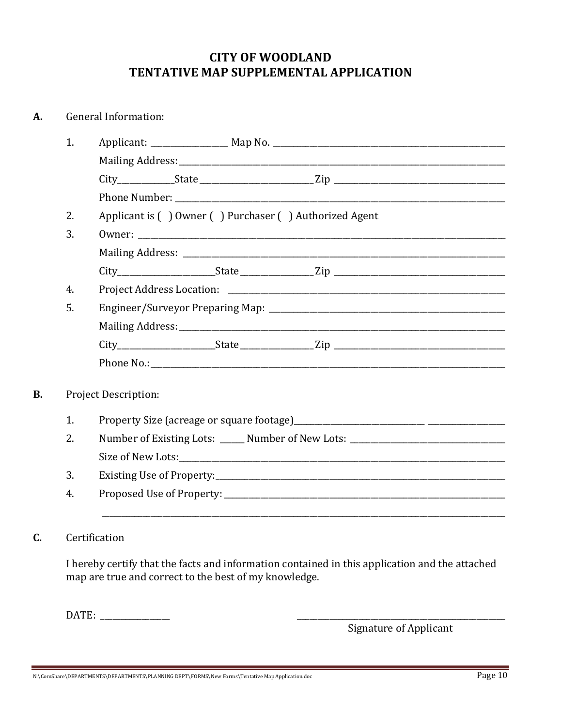## **CITY OF WOODLAND TENTATIVE MAP SUPPLEMENTAL APPLICATION**

## **A.** General Information:



#### **C.** Certification

I hereby certify that the facts and information contained in this application and the attached map are true and correct to the best of my knowledge.

DATE: \_\_\_\_\_\_\_\_\_\_\_\_\_\_\_\_\_ \_\_\_\_\_\_\_\_\_\_\_\_\_\_\_\_\_\_\_\_\_\_\_\_\_\_\_\_\_\_\_\_\_\_\_\_\_\_\_\_\_\_\_\_\_\_\_\_\_\_\_

Signature of Applicant